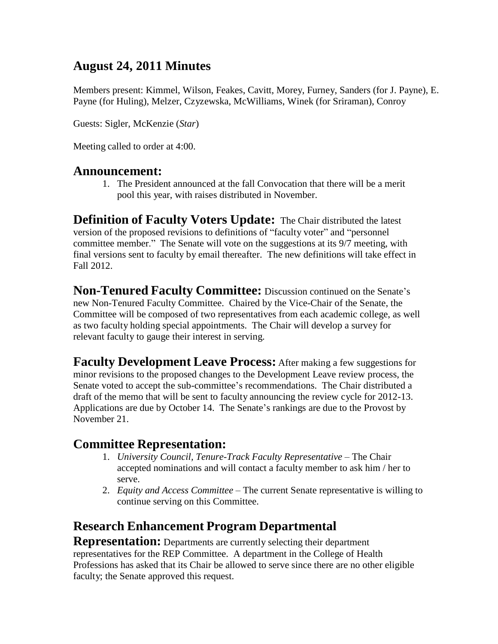# **August 24, 2011 Minutes**

Members present: Kimmel, Wilson, Feakes, Cavitt, Morey, Furney, Sanders (for J. Payne), E. Payne (for Huling), Melzer, Czyzewska, McWilliams, Winek (for Sriraman), Conroy

Guests: Sigler, McKenzie (*Star*)

Meeting called to order at 4:00.

#### **Announcement:**

1. The President announced at the fall Convocation that there will be a merit pool this year, with raises distributed in November.

**Definition of Faculty Voters Update:** The Chair distributed the latest version of the proposed revisions to definitions of "faculty voter" and "personnel committee member." The Senate will vote on the suggestions at its 9/7 meeting, with final versions sent to faculty by email thereafter. The new definitions will take effect in Fall 2012.

**Non-Tenured Faculty Committee:** Discussion continued on the Senate's new Non-Tenured Faculty Committee. Chaired by the Vice-Chair of the Senate, the Committee will be composed of two representatives from each academic college, as well as two faculty holding special appointments. The Chair will develop a survey for relevant faculty to gauge their interest in serving.

**Faculty Development Leave Process:** After making a few suggestions for minor revisions to the proposed changes to the Development Leave review process, the Senate voted to accept the sub-committee's recommendations. The Chair distributed a draft of the memo that will be sent to faculty announcing the review cycle for 2012-13. Applications are due by October 14. The Senate's rankings are due to the Provost by November 21.

### **Committee Representation:**

- 1. *University Council, Tenure-Track Faculty Representative*  The Chair accepted nominations and will contact a faculty member to ask him / her to serve.
- 2. *Equity and Access Committee*  The current Senate representative is willing to continue serving on this Committee.

# **Research Enhancement Program Departmental**

**Representation:** Departments are currently selecting their department representatives for the REP Committee. A department in the College of Health Professions has asked that its Chair be allowed to serve since there are no other eligible faculty; the Senate approved this request.